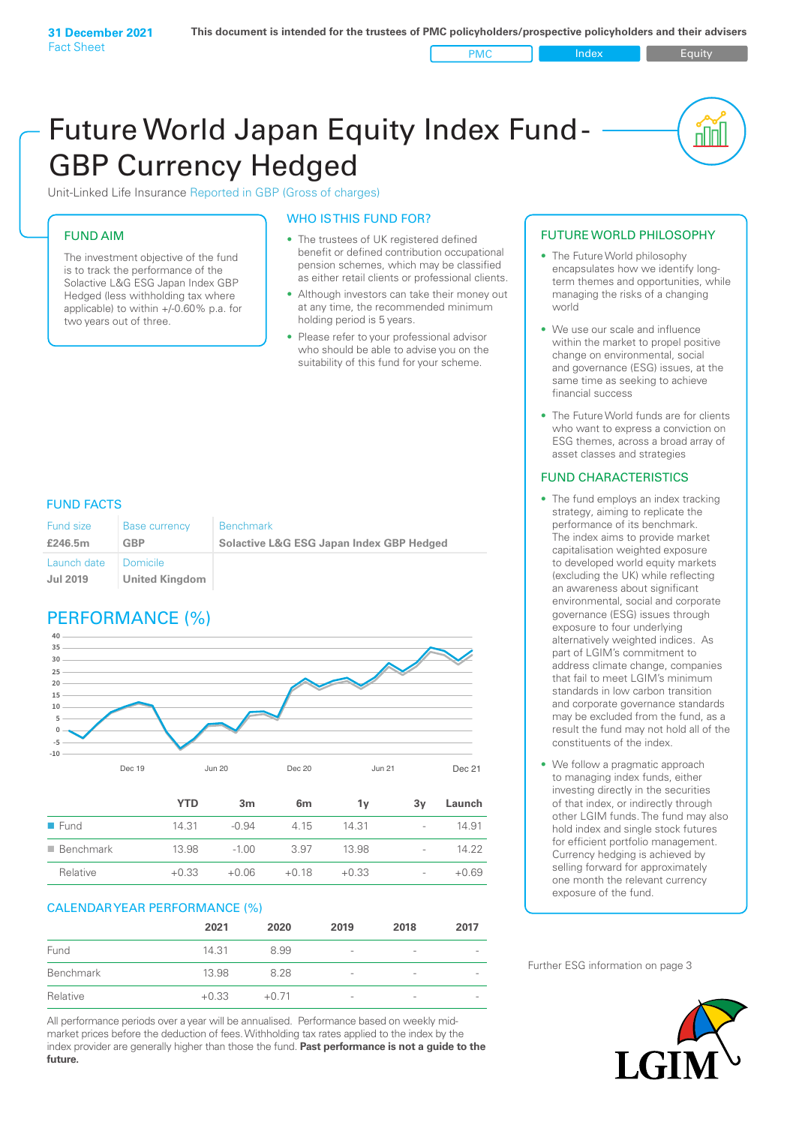PMC Index PMC Equity

<u>nul</u>

# Future World Japan Equity Index Fund - GBP Currency Hedged

Unit-Linked Life Insurance Reported in GBP (Gross of charges)

### FUND AIM

The investment objective of the fund is to track the performance of the Solactive L&G ESG Japan Index GBP Hedged (less withholding tax where applicable) to within +/‑0.60% p.a. for two years out of three.

#### WHO IS THIS FUND FOR?

- The trustees of UK registered defined benefit or defined contribution occupational pension schemes, which may be classified as either retail clients or professional clients.
- Although investors can take their money out at any time, the recommended minimum holding period is 5 years.
- Please refer to your professional advisor who should be able to advise you on the suitability of this fund for your scheme.

### FUND FACTS

| <b>Fund size</b><br>£246.5m | <b>Base currency</b><br>GBP | <b>Benchmark</b><br><b>Solactive L&amp;G ESG Japan Index GBP Hedged</b> |
|-----------------------------|-----------------------------|-------------------------------------------------------------------------|
| Launch date                 | I Domicile                  |                                                                         |
| Jul 2019                    | <b>United Kingdom</b>       |                                                                         |

### PERFORMANCE (%)



|                          | YTD     | 3m      | 6m      | ٦v      | 3v                       | Launch  |
|--------------------------|---------|---------|---------|---------|--------------------------|---------|
| $\blacksquare$ Fund      | 14.31   | $-0.94$ | 4.15    | 14 31   | $\sim$                   | 14.91   |
| $\blacksquare$ Benchmark | 13.98   | $-1.00$ | 3.97    | 13.98   | $\sim$                   | 14.22   |
| Relative                 | $+0.33$ | $+0.06$ | $+0.18$ | $+0.33$ | $\overline{\phantom{a}}$ | $+0.69$ |

#### CALENDAR YEAR PERFORMANCE (%)

|           | 2021    | 2020    | 2019                     | 2018            | 2017 |
|-----------|---------|---------|--------------------------|-----------------|------|
| Fund      | 14.31   | 8.99    | $\overline{\phantom{a}}$ | $\qquad \qquad$ |      |
| Benchmark | 13.98   | 8.28    | $\overline{\phantom{a}}$ | $\qquad \qquad$ |      |
| Relative  | $+0.33$ | $+0.71$ | $\overline{\phantom{a}}$ | -               |      |

All performance periods over a year will be annualised. Performance based on weekly midmarket prices before the deduction of fees. Withholding tax rates applied to the index by the index provider are generally higher than those the fund. **Past performance is not a guide to the future.**

#### FUTURE WORLD PHILOSOPHY

- The Future World philosophy encapsulates how we identify longterm themes and opportunities, while managing the risks of a changing world
- We use our scale and influence within the market to propel positive change on environmental, social and governance (ESG) issues, at the same time as seeking to achieve financial success
- The Future World funds are for clients who want to express a conviction on ESG themes, across a broad array of asset classes and strategies

#### FUND CHARACTERISTICS

- The fund employs an index tracking strategy, aiming to replicate the performance of its benchmark. The index aims to provide market capitalisation weighted exposure to developed world equity markets (excluding the UK) while reflecting an awareness about significant environmental, social and corporate governance (ESG) issues through exposure to four underlying alternatively weighted indices. As part of LGIM's commitment to address climate change, companies that fail to meet LGIM's minimum standards in low carbon transition and corporate governance standards may be excluded from the fund, as a result the fund may not hold all of the constituents of the index.
- We follow a pragmatic approach to managing index funds, either investing directly in the securities of that index, or indirectly through other LGIM funds. The fund may also hold index and single stock futures for efficient portfolio management. Currency hedging is achieved by selling forward for approximately one month the relevant currency exposure of the fund.

Further ESG information on page 3

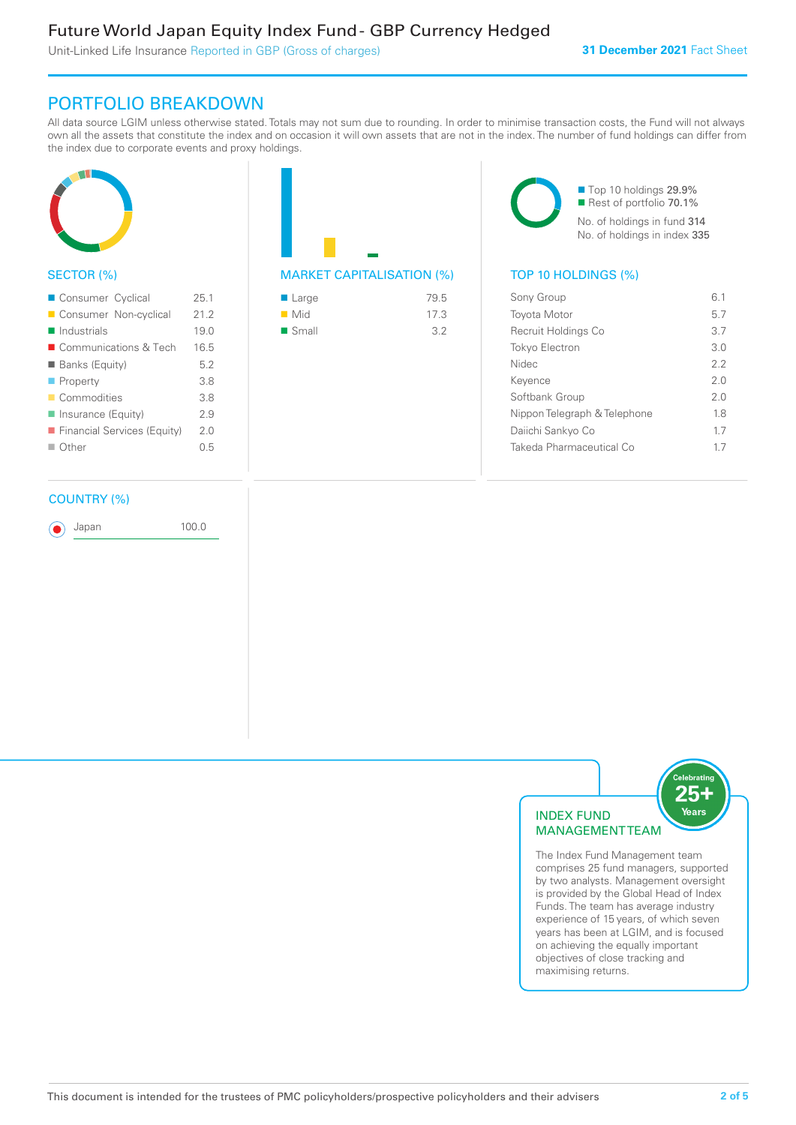### Future World Japan Equity Index Fund - GBP Currency Hedged

Unit-Linked Life Insurance Reported in GBP (Gross of charges)

### PORTFOLIO BREAKDOWN

All data source LGIM unless otherwise stated. Totals may not sum due to rounding. In order to minimise transaction costs, the Fund will not always own all the assets that constitute the index and on occasion it will own assets that are not in the index. The number of fund holdings can differ from the index due to corporate events and proxy holdings.



### SECTOR (%)

| Consumer Cyclical           | 25.1 |
|-----------------------------|------|
| Consumer Non-cyclical       | 21.2 |
| $\blacksquare$ Industrials  | 19.0 |
| ■ Communications & Tech     | 16.5 |
| ■ Banks (Equity)            | 5.2  |
| $\blacksquare$ Property     | 3.8  |
| Commodities                 | 3.8  |
| Insurance (Equity)          | 2.9  |
| Financial Services (Equity) | 20   |
| $\Box$ Other                | 0.5  |
|                             |      |

## MARKET CAPITALISATION (%) TOP 10 HOLDINGS (%)

| ■ Large            | 79.5 |
|--------------------|------|
| $\blacksquare$ Mid | 17.3 |
| ■ Small            | 3.2  |

■ Top 10 holdings 29.9% Rest of portfolio 70.1% No. of holdings in fund 314 No. of holdings in index 335

| Sony Group                   | 61  |
|------------------------------|-----|
| <b>Toyota Motor</b>          | 5.7 |
| Recruit Holdings Co          | 3.7 |
| <b>Tokyo Electron</b>        | 3 O |
| <b>Nidec</b>                 | 22  |
| Kevence                      | 2.0 |
| Softbank Group               | 2.0 |
| Nippon Telegraph & Telephone | 18  |
| Daiichi Sankyo Co            | 17  |
| Takeda Pharmaceutical Co     | 17  |

#### COUNTRY (%)

Japan 100.0



The Index Fund Management team comprises 25 fund managers, supported by two analysts. Management oversight is provided by the Global Head of Index Funds. The team has average industry experience of 15 years, of which seven years has been at LGIM, and is focused on achieving the equally important objectives of close tracking and maximising returns.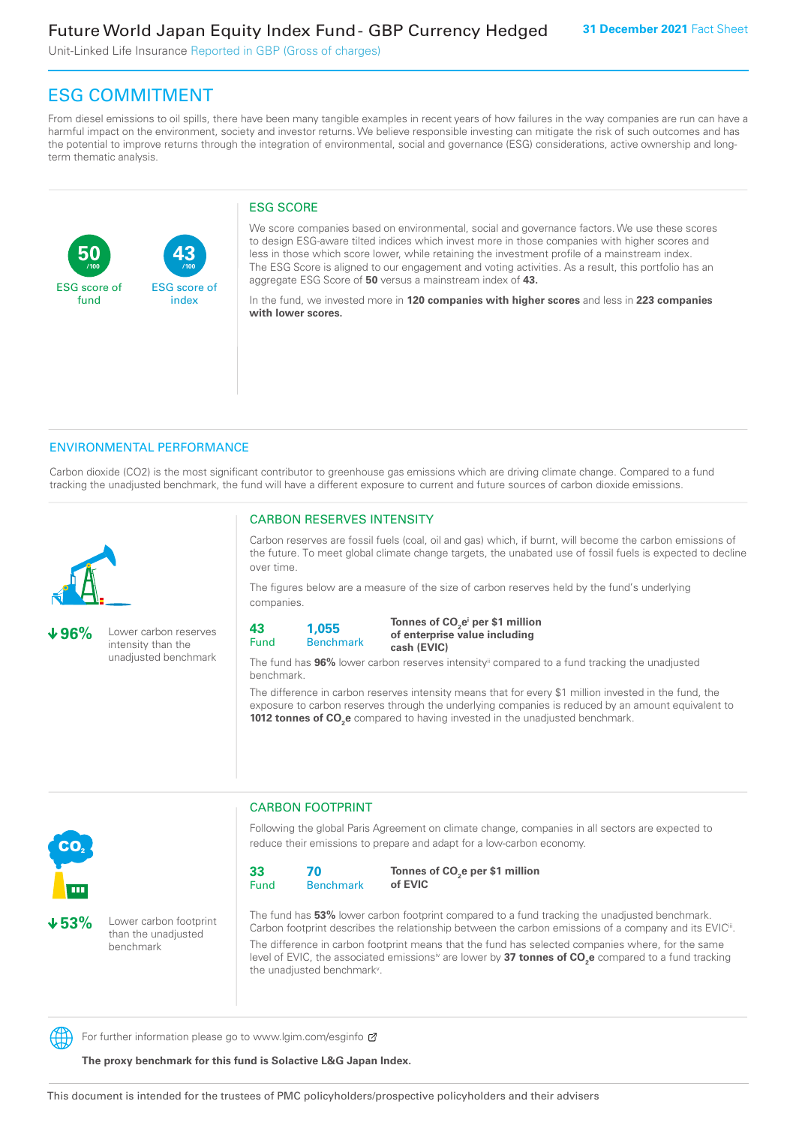Unit-Linked Life Insurance Reported in GBP (Gross of charges)

**43**

ESG score of index

### ESG COMMITMENT

From diesel emissions to oil spills, there have been many tangible examples in recent years of how failures in the way companies are run can have a harmful impact on the environment, society and investor returns. We believe responsible investing can mitigate the risk of such outcomes and has the potential to improve returns through the integration of environmental, social and governance (ESG) considerations, active ownership and longterm thematic analysis.

#### ESG SCORE

We score companies based on environmental, social and governance factors. We use these scores to design ESG-aware tilted indices which invest more in those companies with higher scores and less in those which score lower, while retaining the investment profile of a mainstream index. The ESG Score is aligned to our engagement and voting activities. As a result, this portfolio has an aggregate ESG Score of **50** versus a mainstream index of **43.**

In the fund, we invested more in **120 companies with higher scores** and less in **223 companies with lower scores.**

#### ENVIRONMENTAL PERFORMANCE

**/100 /100**

Carbon dioxide (CO2) is the most significant contributor to greenhouse gas emissions which are driving climate change. Compared to a fund tracking the unadjusted benchmark, the fund will have a different exposure to current and future sources of carbon dioxide emissions.



**50**

ESG score of fund

**96%** Lower carbon reserves intensity than the unadjusted benchmark

#### CARBON RESERVES INTENSITY

Carbon reserves are fossil fuels (coal, oil and gas) which, if burnt, will become the carbon emissions of the future. To meet global climate change targets, the unabated use of fossil fuels is expected to decline over time.

The figures below are a measure of the size of carbon reserves held by the fund's underlying companies.

**43** Fund **1,055**

Benchmark

Tonnes of CO<sub>2</sub>e<sup>i</sup> per \$1 million **of enterprise value including cash (EVIC)**

The fund has **96%** lower carbon reserves intensityii compared to a fund tracking the unadjusted benchmark.

The difference in carbon reserves intensity means that for every \$1 million invested in the fund, the exposure to carbon reserves through the underlying companies is reduced by an amount equivalent to **1012 tonnes of CO<sub>2</sub>e** compared to having invested in the unadjusted benchmark.



**53%** Lower carbon footprint than the unadjusted benchmark

CARBON FOOTPRINT

Following the global Paris Agreement on climate change, companies in all sectors are expected to reduce their emissions to prepare and adapt for a low-carbon economy.



Tonnes of CO<sub>2</sub>e per \$1 million **of EVIC**

The fund has **53%** lower carbon footprint compared to a fund tracking the unadjusted benchmark. Carbon footprint describes the relationship between the carbon emissions of a company and its EVIC<sup>ii</sup>. The difference in carbon footprint means that the fund has selected companies where, for the same level of EVIC, the associated emissionsi<sup>v</sup> are lower by **37 tonnes of CO<sub>2</sub>e** compared to a fund tracking the unadjusted benchmark<sup>v</sup>.

For further information please go to www.lgim.com/esginfo  $\sigma$ 

**The proxy benchmark for this fund is Solactive L&G Japan Index.**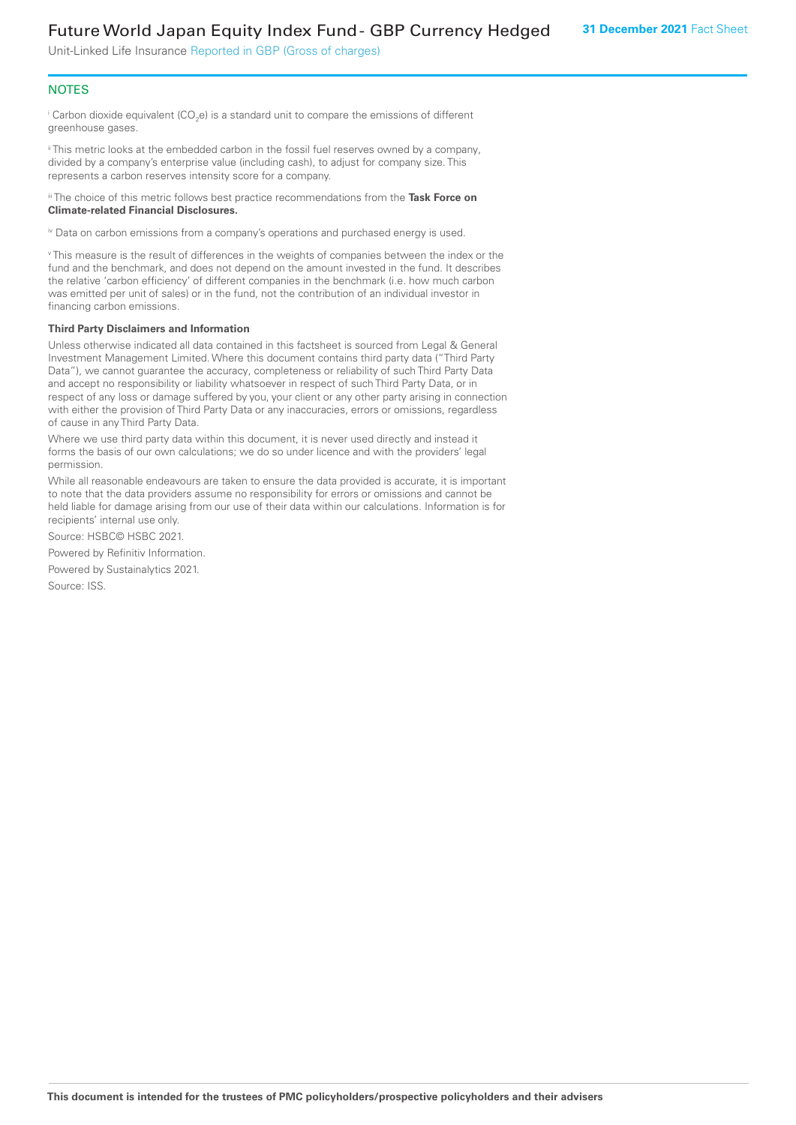### Future World Japan Equity Index Fund - GBP Currency Hedged

Unit-Linked Life Insurance Reported in GBP (Gross of charges)

#### **NOTES**

 $^\mathrm{i}$  Carbon dioxide equivalent (CO<sub>2</sub>e) is a standard unit to compare the emissions of different greenhouse gases.

ii This metric looks at the embedded carbon in the fossil fuel reserves owned by a company, divided by a company's enterprise value (including cash), to adjust for company size. This represents a carbon reserves intensity score for a company.

iii The choice of this metric follows best practice recommendations from the **Task Force on Climate-related Financial Disclosures.**

iv Data on carbon emissions from a company's operations and purchased energy is used.

v This measure is the result of differences in the weights of companies between the index or the fund and the benchmark, and does not depend on the amount invested in the fund. It describes the relative 'carbon efficiency' of different companies in the benchmark (i.e. how much carbon was emitted per unit of sales) or in the fund, not the contribution of an individual investor in financing carbon emissions.

#### **Third Party Disclaimers and Information**

Unless otherwise indicated all data contained in this factsheet is sourced from Legal & General Investment Management Limited. Where this document contains third party data ("Third Party Data"), we cannot guarantee the accuracy, completeness or reliability of such Third Party Data and accept no responsibility or liability whatsoever in respect of such Third Party Data, or in respect of any loss or damage suffered by you, your client or any other party arising in connection with either the provision of Third Party Data or any inaccuracies, errors or omissions, regardless of cause in any Third Party Data.

Where we use third party data within this document, it is never used directly and instead it forms the basis of our own calculations; we do so under licence and with the providers' legal permission.

While all reasonable endeavours are taken to ensure the data provided is accurate, it is important to note that the data providers assume no responsibility for errors or omissions and cannot be held liable for damage arising from our use of their data within our calculations. Information is for recipients' internal use only.

Source: HSBC© HSBC 2021.

Powered by Refinitiv Information.

Powered by Sustainalytics 2021.

Source: ISS.